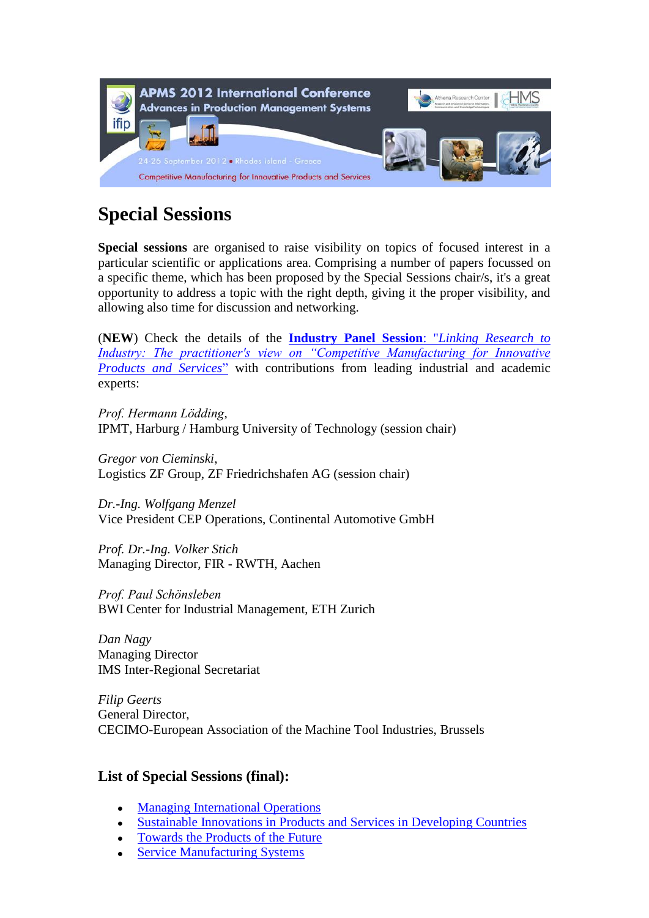

## **Special Sessions**

**Special sessions** are organised to raise visibility on topics of focused interest in a particular scientific or applications area. Comprising a number of papers focussed on a specific theme, which has been proposed by the Special Sessions chair/s, it's a great opportunity to address a topic with the right depth, giving it the proper visibility, and allowing also time for discussion and networking.

(**NEW**) Check the details of the **[Industry Panel Session](http://www.apms-conference.org/files/files2012/APMS%202012_Industry_Panel_Session.pdf)**: "*Linking Research to [Industry: The practitioner's view on "Competitive Manufacturing for Innovative](http://www.apms-conference.org/files/files2012/APMS%202012_Industry_Panel_Session.pdf)  [Products and Services](http://www.apms-conference.org/files/files2012/APMS%202012_Industry_Panel_Session.pdf)*" with contributions from leading industrial and academic experts:

*Prof. Hermann Lödding*, IPMT, Harburg / Hamburg University of Technology (session chair)

*Gregor von Cieminski*, Logistics ZF Group, ZF Friedrichshafen AG (session chair)

*Dr.-Ing. Wolfgang Menzel* Vice President CEP Operations, Continental Automotive GmbH

*Prof. Dr.-Ing. Volker Stich* Managing Director, FIR - RWTH, Aachen

*Prof. Paul Schönsleben* BWI Center for Industrial Management, ETH Zurich

*Dan Nagy* Managing Director IMS Inter-Regional Secretariat

*Filip Geerts* General Director, CECIMO-European Association of the Machine Tool Industries, Brussels

## **List of Special Sessions (final):**

- [Managing International Operations](http://www.apms-conference.org/images/uploaded/APMS%20Special%20Session%20-%20Managing%20international%20operations.pdf)
- [Sustainable Innovations in Products and Services in Developing Countries](http://www.apms-conference.org/images/uploaded/APMS%20Special%20Session%20-%20Sustainable%20innovations%20in%20products%20and%20services%20in%20developing%20countries.pdf)
- [Towards the Products of the Future](http://www.apms-conference.org/images/uploaded/Special%20Session%20APMS%202012%20-%20Towards%20the%20Product%20of%20the%20Future.pdf)
- [Service Manufacturing Systems](http://www.apms-conference.org/images/uploaded/APMS%202012%20Special%20Session%20Proposal.pdf)